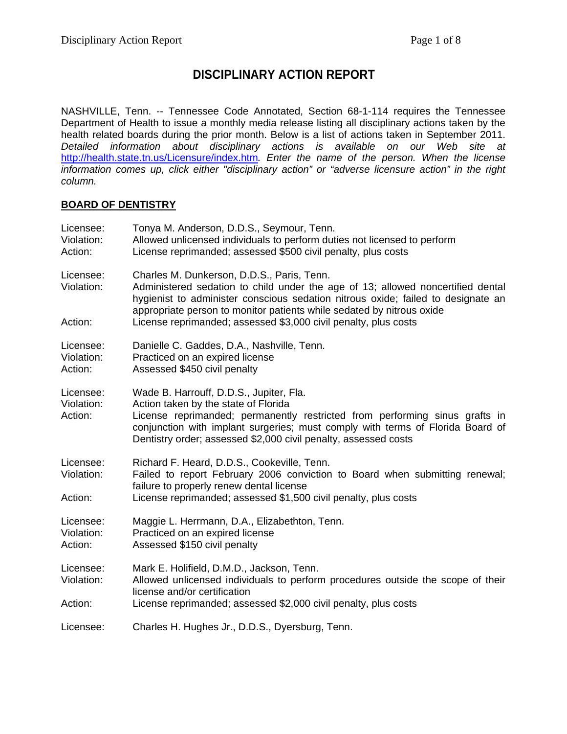# **DISCIPLINARY ACTION REPORT**

NASHVILLE, Tenn. -- Tennessee Code Annotated, Section 68-1-114 requires the Tennessee Department of Health to issue a monthly media release listing all disciplinary actions taken by the health related boards during the prior month. Below is a list of actions taken in September 2011. *Detailed information about disciplinary actions is available on our Web site at*  http://health.state.tn.us/Licensure/index.htm*. Enter the name of the person. When the license information comes up, click either "disciplinary action" or "adverse licensure action" in the right column.* 

#### **BOARD OF DENTISTRY**

| Licensee:<br>Violation:<br>Action: | Tonya M. Anderson, D.D.S., Seymour, Tenn.<br>Allowed unlicensed individuals to perform duties not licensed to perform<br>License reprimanded; assessed \$500 civil penalty, plus costs                                                                                                                              |
|------------------------------------|---------------------------------------------------------------------------------------------------------------------------------------------------------------------------------------------------------------------------------------------------------------------------------------------------------------------|
| Licensee:<br>Violation:            | Charles M. Dunkerson, D.D.S., Paris, Tenn.<br>Administered sedation to child under the age of 13; allowed noncertified dental<br>hygienist to administer conscious sedation nitrous oxide; failed to designate an<br>appropriate person to monitor patients while sedated by nitrous oxide                          |
| Action:                            | License reprimanded; assessed \$3,000 civil penalty, plus costs                                                                                                                                                                                                                                                     |
| Licensee:<br>Violation:<br>Action: | Danielle C. Gaddes, D.A., Nashville, Tenn.<br>Practiced on an expired license<br>Assessed \$450 civil penalty                                                                                                                                                                                                       |
| Licensee:<br>Violation:<br>Action: | Wade B. Harrouff, D.D.S., Jupiter, Fla.<br>Action taken by the state of Florida<br>License reprimanded; permanently restricted from performing sinus grafts in<br>conjunction with implant surgeries; must comply with terms of Florida Board of<br>Dentistry order; assessed \$2,000 civil penalty, assessed costs |
| Licensee:<br>Violation:<br>Action: | Richard F. Heard, D.D.S., Cookeville, Tenn.<br>Failed to report February 2006 conviction to Board when submitting renewal;<br>failure to properly renew dental license<br>License reprimanded; assessed \$1,500 civil penalty, plus costs                                                                           |
| Licensee:<br>Violation:<br>Action: | Maggie L. Herrmann, D.A., Elizabethton, Tenn.<br>Practiced on an expired license<br>Assessed \$150 civil penalty                                                                                                                                                                                                    |
| Licensee:<br>Violation:<br>Action: | Mark E. Holifield, D.M.D., Jackson, Tenn.<br>Allowed unlicensed individuals to perform procedures outside the scope of their<br>license and/or certification<br>License reprimanded; assessed \$2,000 civil penalty, plus costs                                                                                     |
| Licensee:                          | Charles H. Hughes Jr., D.D.S., Dyersburg, Tenn.                                                                                                                                                                                                                                                                     |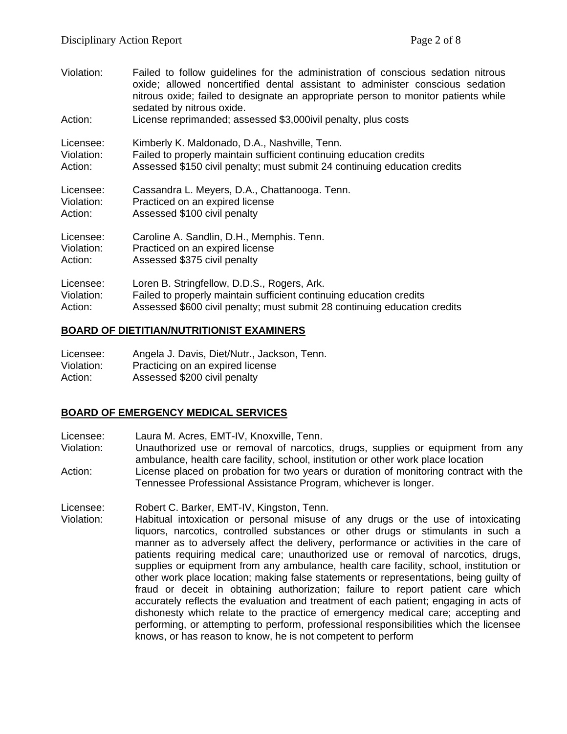| Violation: | Failed to follow guidelines for the administration of conscious sedation nitrous<br>oxide; allowed noncertified dental assistant to administer conscious sedation<br>nitrous oxide; failed to designate an appropriate person to monitor patients while<br>sedated by nitrous oxide. |
|------------|--------------------------------------------------------------------------------------------------------------------------------------------------------------------------------------------------------------------------------------------------------------------------------------|
| Action:    | License reprimanded; assessed \$3,000ivil penalty, plus costs                                                                                                                                                                                                                        |
| Licensee:  | Kimberly K. Maldonado, D.A., Nashville, Tenn.                                                                                                                                                                                                                                        |
| Violation: | Failed to properly maintain sufficient continuing education credits                                                                                                                                                                                                                  |
| Action:    | Assessed \$150 civil penalty; must submit 24 continuing education credits                                                                                                                                                                                                            |
| Licensee:  | Cassandra L. Meyers, D.A., Chattanooga. Tenn.                                                                                                                                                                                                                                        |
| Violation: | Practiced on an expired license                                                                                                                                                                                                                                                      |
| Action:    | Assessed \$100 civil penalty                                                                                                                                                                                                                                                         |
| Licensee:  | Caroline A. Sandlin, D.H., Memphis. Tenn.                                                                                                                                                                                                                                            |
| Violation: | Practiced on an expired license                                                                                                                                                                                                                                                      |
| Action:    | Assessed \$375 civil penalty                                                                                                                                                                                                                                                         |
| Licensee:  | Loren B. Stringfellow, D.D.S., Rogers, Ark.                                                                                                                                                                                                                                          |
| Violation: | Failed to properly maintain sufficient continuing education credits                                                                                                                                                                                                                  |
| Action:    | Assessed \$600 civil penalty; must submit 28 continuing education credits                                                                                                                                                                                                            |

#### **BOARD OF DIETITIAN/NUTRITIONIST EXAMINERS**

| Licensee:  | Angela J. Davis, Diet/Nutr., Jackson, Tenn. |
|------------|---------------------------------------------|
| Violation: | Practicing on an expired license            |
| Action:    | Assessed \$200 civil penalty                |

### **BOARD OF EMERGENCY MEDICAL SERVICES**

Licensee: Laura M. Acres, EMT-IV, Knoxville, Tenn.

Violation: Unauthorized use or removal of narcotics, drugs, supplies or equipment from any ambulance, health care facility, school, institution or other work place location Action: License placed on probation for two years or duration of monitoring contract with the

Tennessee Professional Assistance Program, whichever is longer.

Licensee: Robert C. Barker, EMT-IV, Kingston, Tenn.

Violation: Habitual intoxication or personal misuse of any drugs or the use of intoxicating liquors, narcotics, controlled substances or other drugs or stimulants in such a manner as to adversely affect the delivery, performance or activities in the care of patients requiring medical care; unauthorized use or removal of narcotics, drugs, supplies or equipment from any ambulance, health care facility, school, institution or other work place location; making false statements or representations, being guilty of fraud or deceit in obtaining authorization; failure to report patient care which accurately reflects the evaluation and treatment of each patient; engaging in acts of dishonesty which relate to the practice of emergency medical care; accepting and performing, or attempting to perform, professional responsibilities which the licensee knows, or has reason to know, he is not competent to perform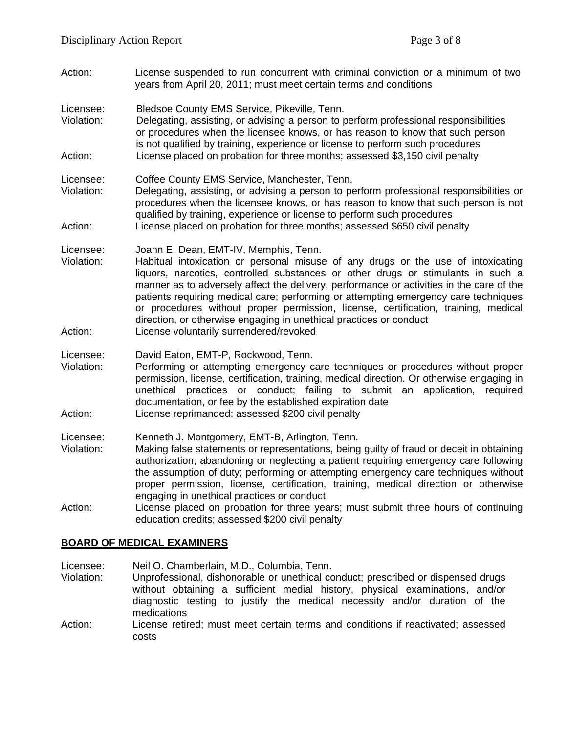Action: License suspended to run concurrent with criminal conviction or a minimum of two years from April 20, 2011; must meet certain terms and conditions

Licensee: Bledsoe County EMS Service, Pikeville, Tenn.

- Violation: Delegating, assisting, or advising a person to perform professional responsibilities or procedures when the licensee knows, or has reason to know that such person is not qualified by training, experience or license to perform such procedures Action: License placed on probation for three months; assessed \$3,150 civil penalty
- Licensee: Coffee County EMS Service, Manchester, Tenn.
- Violation: Delegating, assisting, or advising a person to perform professional responsibilities or procedures when the licensee knows, or has reason to know that such person is not qualified by training, experience or license to perform such procedures Action: License placed on probation for three months; assessed \$650 civil penalty
- 
- Licensee: Joann E. Dean, EMT-IV, Memphis, Tenn. Violation: Habitual intoxication or personal misuse of any drugs or the use of intoxicating liquors, narcotics, controlled substances or other drugs or stimulants in such a manner as to adversely affect the delivery, performance or activities in the care of the patients requiring medical care; performing or attempting emergency care techniques or procedures without proper permission, license, certification, training, medical direction, or otherwise engaging in unethical practices or conduct
- Action: License voluntarily surrendered/revoked
- Licensee: David Eaton, EMT-P, Rockwood, Tenn.
- Violation: Performing or attempting emergency care techniques or procedures without proper permission, license, certification, training, medical direction. Or otherwise engaging in unethical practices or conduct; failing to submit an application, required documentation, or fee by the established expiration date Action: License reprimanded; assessed \$200 civil penalty

Licensee: Kenneth J. Montgomery, EMT-B, Arlington, Tenn.

- Violation: Making false statements or representations, being guilty of fraud or deceit in obtaining authorization; abandoning or neglecting a patient requiring emergency care following the assumption of duty; performing or attempting emergency care techniques without proper permission, license, certification, training, medical direction or otherwise engaging in unethical practices or conduct.
- Action: License placed on probation for three years; must submit three hours of continuing education credits; assessed \$200 civil penalty

### **BOARD OF MEDICAL EXAMINERS**

Licensee: Neil O. Chamberlain, M.D., Columbia, Tenn.

Violation: Unprofessional, dishonorable or unethical conduct; prescribed or dispensed drugs without obtaining a sufficient medial history, physical examinations, and/or diagnostic testing to justify the medical necessity and/or duration of the medications

Action: License retired; must meet certain terms and conditions if reactivated; assessed costs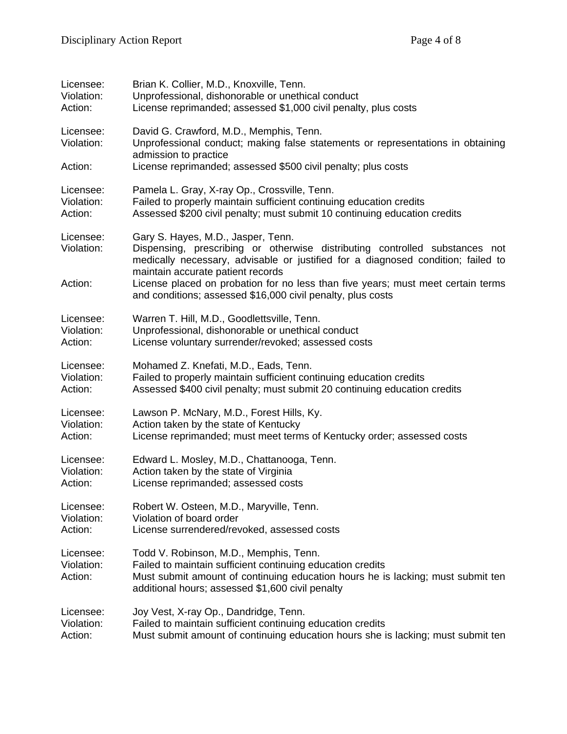| Licensee:                          | Brian K. Collier, M.D., Knoxville, Tenn.                                                                                                                                                                                                    |
|------------------------------------|---------------------------------------------------------------------------------------------------------------------------------------------------------------------------------------------------------------------------------------------|
| Violation:                         | Unprofessional, dishonorable or unethical conduct                                                                                                                                                                                           |
| Action:                            | License reprimanded; assessed \$1,000 civil penalty, plus costs                                                                                                                                                                             |
| Licensee:<br>Violation:            | David G. Crawford, M.D., Memphis, Tenn.<br>Unprofessional conduct; making false statements or representations in obtaining<br>admission to practice                                                                                         |
| Action:                            | License reprimanded; assessed \$500 civil penalty; plus costs                                                                                                                                                                               |
| Licensee:                          | Pamela L. Gray, X-ray Op., Crossville, Tenn.                                                                                                                                                                                                |
| Violation:                         | Failed to properly maintain sufficient continuing education credits                                                                                                                                                                         |
| Action:                            | Assessed \$200 civil penalty; must submit 10 continuing education credits                                                                                                                                                                   |
| Licensee:<br>Violation:            | Gary S. Hayes, M.D., Jasper, Tenn.<br>Dispensing, prescribing or otherwise distributing controlled substances not<br>medically necessary, advisable or justified for a diagnosed condition; failed to<br>maintain accurate patient records  |
| Action:                            | License placed on probation for no less than five years; must meet certain terms<br>and conditions; assessed \$16,000 civil penalty, plus costs                                                                                             |
| Licensee:                          | Warren T. Hill, M.D., Goodlettsville, Tenn.                                                                                                                                                                                                 |
| Violation:                         | Unprofessional, dishonorable or unethical conduct                                                                                                                                                                                           |
| Action:                            | License voluntary surrender/revoked; assessed costs                                                                                                                                                                                         |
| Licensee:                          | Mohamed Z. Knefati, M.D., Eads, Tenn.                                                                                                                                                                                                       |
| Violation:                         | Failed to properly maintain sufficient continuing education credits                                                                                                                                                                         |
| Action:                            | Assessed \$400 civil penalty; must submit 20 continuing education credits                                                                                                                                                                   |
| Licensee:                          | Lawson P. McNary, M.D., Forest Hills, Ky.                                                                                                                                                                                                   |
| Violation:                         | Action taken by the state of Kentucky                                                                                                                                                                                                       |
| Action:                            | License reprimanded; must meet terms of Kentucky order; assessed costs                                                                                                                                                                      |
| Licensee:                          | Edward L. Mosley, M.D., Chattanooga, Tenn.                                                                                                                                                                                                  |
| Violation:                         | Action taken by the state of Virginia                                                                                                                                                                                                       |
| Action:                            | License reprimanded; assessed costs                                                                                                                                                                                                         |
| Licensee:                          | Robert W. Osteen, M.D., Maryville, Tenn.                                                                                                                                                                                                    |
| Violation:                         | Violation of board order                                                                                                                                                                                                                    |
| Action:                            | License surrendered/revoked, assessed costs                                                                                                                                                                                                 |
| Licensee:<br>Violation:<br>Action: | Todd V. Robinson, M.D., Memphis, Tenn.<br>Failed to maintain sufficient continuing education credits<br>Must submit amount of continuing education hours he is lacking; must submit ten<br>additional hours; assessed \$1,600 civil penalty |
| Licensee:                          | Joy Vest, X-ray Op., Dandridge, Tenn.                                                                                                                                                                                                       |
| Violation:                         | Failed to maintain sufficient continuing education credits                                                                                                                                                                                  |
| Action:                            | Must submit amount of continuing education hours she is lacking; must submit ten                                                                                                                                                            |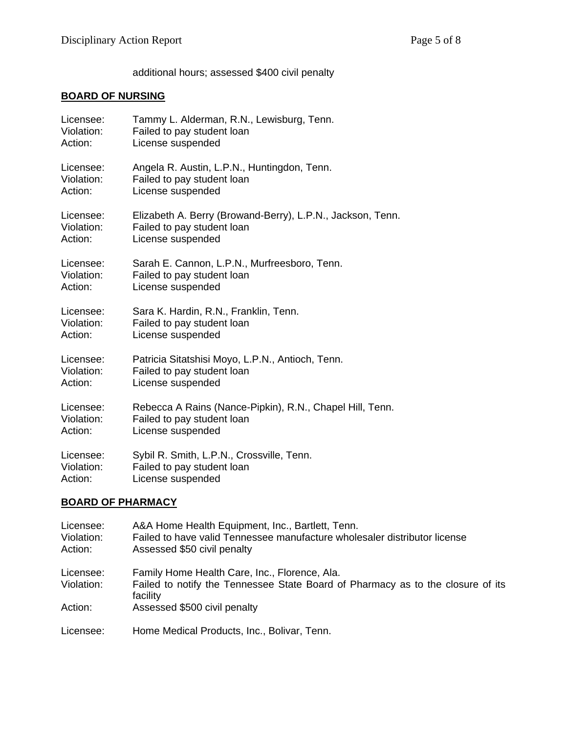additional hours; assessed \$400 civil penalty

### **BOARD OF NURSING**

| Licensee:  | Tammy L. Alderman, R.N., Lewisburg, Tenn.                  |
|------------|------------------------------------------------------------|
| Violation: | Failed to pay student loan                                 |
| Action:    | License suspended                                          |
| Licensee:  | Angela R. Austin, L.P.N., Huntingdon, Tenn.                |
| Violation: | Failed to pay student loan                                 |
| Action:    | License suspended                                          |
| Licensee:  | Elizabeth A. Berry (Browand-Berry), L.P.N., Jackson, Tenn. |
| Violation: | Failed to pay student loan                                 |
| Action:    | License suspended                                          |
| Licensee:  | Sarah E. Cannon, L.P.N., Murfreesboro, Tenn.               |
| Violation: | Failed to pay student loan                                 |
| Action:    | License suspended                                          |
| Licensee:  | Sara K. Hardin, R.N., Franklin, Tenn.                      |
| Violation: | Failed to pay student loan                                 |
| Action:    | License suspended                                          |
| Licensee:  | Patricia Sitatshisi Moyo, L.P.N., Antioch, Tenn.           |
| Violation: | Failed to pay student loan                                 |
| Action:    | License suspended                                          |
| Licensee:  | Rebecca A Rains (Nance-Pipkin), R.N., Chapel Hill, Tenn.   |
| Violation: | Failed to pay student loan                                 |
| Action:    | License suspended                                          |
| Licensee:  | Sybil R. Smith, L.P.N., Crossville, Tenn.                  |
| Violation: | Failed to pay student loan                                 |
| Action:    | License suspended                                          |
|            |                                                            |

# **BOARD OF PHARMACY**

| Licensee:<br>Violation:<br>Action: | A&A Home Health Equipment, Inc., Bartlett, Tenn.<br>Failed to have valid Tennessee manufacture wholesaler distributor license<br>Assessed \$50 civil penalty |
|------------------------------------|--------------------------------------------------------------------------------------------------------------------------------------------------------------|
| Licensee:                          | Family Home Health Care, Inc., Florence, Ala.                                                                                                                |
| Violation:                         | Failed to notify the Tennessee State Board of Pharmacy as to the closure of its<br>facility                                                                  |
| Action:                            | Assessed \$500 civil penalty                                                                                                                                 |
| Licensee:                          | Home Medical Products, Inc., Bolivar, Tenn.                                                                                                                  |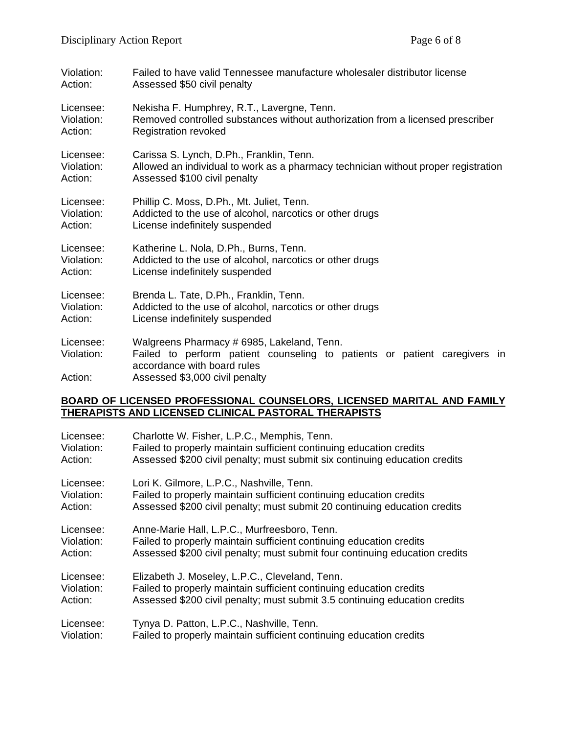| Violation:                         | Failed to have valid Tennessee manufacture wholesaler distributor license                                                                                                                |
|------------------------------------|------------------------------------------------------------------------------------------------------------------------------------------------------------------------------------------|
| Action:                            | Assessed \$50 civil penalty                                                                                                                                                              |
| Licensee:                          | Nekisha F. Humphrey, R.T., Lavergne, Tenn.                                                                                                                                               |
| Violation:                         | Removed controlled substances without authorization from a licensed prescriber                                                                                                           |
| Action:                            | <b>Registration revoked</b>                                                                                                                                                              |
| Licensee:                          | Carissa S. Lynch, D.Ph., Franklin, Tenn.                                                                                                                                                 |
| Violation:                         | Allowed an individual to work as a pharmacy technician without proper registration                                                                                                       |
| Action:                            | Assessed \$100 civil penalty                                                                                                                                                             |
| Licensee:                          | Phillip C. Moss, D.Ph., Mt. Juliet, Tenn.                                                                                                                                                |
| Violation:                         | Addicted to the use of alcohol, narcotics or other drugs                                                                                                                                 |
| Action:                            | License indefinitely suspended                                                                                                                                                           |
| Licensee:                          | Katherine L. Nola, D.Ph., Burns, Tenn.                                                                                                                                                   |
| Violation:                         | Addicted to the use of alcohol, narcotics or other drugs                                                                                                                                 |
| Action:                            | License indefinitely suspended                                                                                                                                                           |
| Licensee:                          | Brenda L. Tate, D.Ph., Franklin, Tenn.                                                                                                                                                   |
| Violation:                         | Addicted to the use of alcohol, narcotics or other drugs                                                                                                                                 |
| Action:                            | License indefinitely suspended                                                                                                                                                           |
| Licensee:<br>Violation:<br>Action: | Walgreens Pharmacy # 6985, Lakeland, Tenn.<br>Failed to perform patient counseling to patients or patient caregivers in<br>accordance with board rules<br>Assessed \$3,000 civil penalty |

#### **BOARD OF LICENSED PROFESSIONAL COUNSELORS, LICENSED MARITAL AND FAMILY THERAPISTS AND LICENSED CLINICAL PASTORAL THERAPISTS**

| Licensee:  | Charlotte W. Fisher, L.P.C., Memphis, Tenn.                                 |
|------------|-----------------------------------------------------------------------------|
| Violation: | Failed to properly maintain sufficient continuing education credits         |
| Action:    | Assessed \$200 civil penalty; must submit six continuing education credits  |
| Licensee:  | Lori K. Gilmore, L.P.C., Nashville, Tenn.                                   |
| Violation: | Failed to properly maintain sufficient continuing education credits         |
| Action:    | Assessed \$200 civil penalty; must submit 20 continuing education credits   |
| Licensee:  | Anne-Marie Hall, L.P.C., Murfreesboro, Tenn.                                |
| Violation: | Failed to properly maintain sufficient continuing education credits         |
| Action:    | Assessed \$200 civil penalty; must submit four continuing education credits |
| Licensee:  | Elizabeth J. Moseley, L.P.C., Cleveland, Tenn.                              |
| Violation: | Failed to properly maintain sufficient continuing education credits         |
| Action:    | Assessed \$200 civil penalty; must submit 3.5 continuing education credits  |
| Licensee:  | Tynya D. Patton, L.P.C., Nashville, Tenn.                                   |
| Violation: | Failed to properly maintain sufficient continuing education credits         |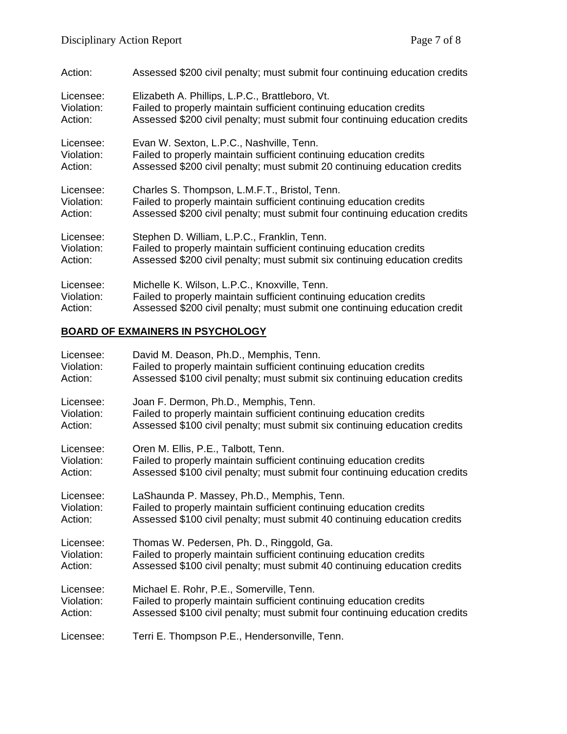| Action:    | Assessed \$200 civil penalty; must submit four continuing education credits |
|------------|-----------------------------------------------------------------------------|
| Licensee:  | Elizabeth A. Phillips, L.P.C., Brattleboro, Vt.                             |
| Violation: | Failed to properly maintain sufficient continuing education credits         |
| Action:    | Assessed \$200 civil penalty; must submit four continuing education credits |
| Licensee:  | Evan W. Sexton, L.P.C., Nashville, Tenn.                                    |
| Violation: | Failed to properly maintain sufficient continuing education credits         |
| Action:    | Assessed \$200 civil penalty; must submit 20 continuing education credits   |
| Licensee:  | Charles S. Thompson, L.M.F.T., Bristol, Tenn.                               |
| Violation: | Failed to properly maintain sufficient continuing education credits         |
| Action:    | Assessed \$200 civil penalty; must submit four continuing education credits |
| Licensee:  | Stephen D. William, L.P.C., Franklin, Tenn.                                 |
| Violation: | Failed to properly maintain sufficient continuing education credits         |
| Action:    | Assessed \$200 civil penalty; must submit six continuing education credits  |
| Licensee:  | Michelle K. Wilson, L.P.C., Knoxville, Tenn.                                |
| Violation: | Failed to properly maintain sufficient continuing education credits         |
| Action:    | Assessed \$200 civil penalty; must submit one continuing education credit   |

# **BOARD OF EXMAINERS IN PSYCHOLOGY**

| Licensee:  | David M. Deason, Ph.D., Memphis, Tenn.                                      |
|------------|-----------------------------------------------------------------------------|
| Violation: | Failed to properly maintain sufficient continuing education credits         |
| Action:    | Assessed \$100 civil penalty; must submit six continuing education credits  |
| Licensee:  | Joan F. Dermon, Ph.D., Memphis, Tenn.                                       |
| Violation: | Failed to properly maintain sufficient continuing education credits         |
| Action:    | Assessed \$100 civil penalty; must submit six continuing education credits  |
| Licensee:  | Oren M. Ellis, P.E., Talbott, Tenn.                                         |
| Violation: | Failed to properly maintain sufficient continuing education credits         |
| Action:    | Assessed \$100 civil penalty; must submit four continuing education credits |
| Licensee:  | LaShaunda P. Massey, Ph.D., Memphis, Tenn.                                  |
| Violation: | Failed to properly maintain sufficient continuing education credits         |
| Action:    | Assessed \$100 civil penalty; must submit 40 continuing education credits   |
| Licensee:  | Thomas W. Pedersen, Ph. D., Ringgold, Ga.                                   |
| Violation: | Failed to properly maintain sufficient continuing education credits         |
| Action:    | Assessed \$100 civil penalty; must submit 40 continuing education credits   |
| Licensee:  | Michael E. Rohr, P.E., Somerville, Tenn.                                    |
| Violation: | Failed to properly maintain sufficient continuing education credits         |
| Action:    | Assessed \$100 civil penalty; must submit four continuing education credits |
| Licensee:  | Terri E. Thompson P.E., Hendersonville, Tenn.                               |